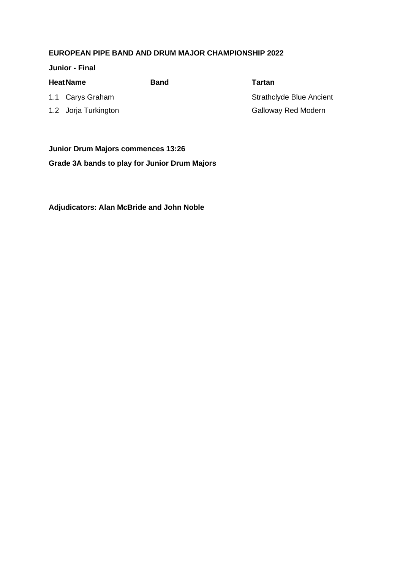**Junior - Final**

| <b>Heat Name</b>     |                  | Band | Tartan                          |
|----------------------|------------------|------|---------------------------------|
|                      | 1.1 Carys Graham |      | <b>Strathclyde Blue Ancient</b> |
| 1.2 Jorja Turkington |                  |      | <b>Galloway Red Modern</b>      |
|                      |                  |      |                                 |

**Junior Drum Majors commences 13:26 Grade 3A bands to play for Junior Drum Majors**

**Adjudicators: Alan McBride and John Noble**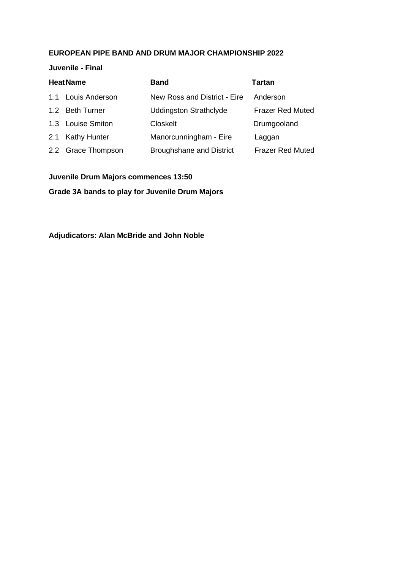**Juvenile - Final**

| <b>Heat Name</b> |                    | <b>Band</b>                     | <b>Tartan</b>           |
|------------------|--------------------|---------------------------------|-------------------------|
|                  | 1.1 Louis Anderson | New Ross and District - Eire    | Anderson                |
|                  | 1.2 Beth Turner    | <b>Uddingston Strathclyde</b>   | <b>Frazer Red Muted</b> |
|                  | 1.3 Louise Smiton  | <b>Closkelt</b>                 | Drumgooland             |
|                  | 2.1 Kathy Hunter   | Manorcunningham - Eire          | Laggan                  |
|                  | 2.2 Grace Thompson | <b>Broughshane and District</b> | <b>Frazer Red Muted</b> |

**Juvenile Drum Majors commences 13:50**

**Grade 3A bands to play for Juvenile Drum Majors**

**Adjudicators: Alan McBride and John Noble**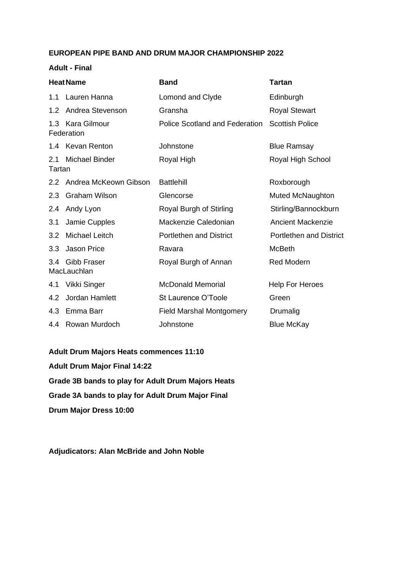#### **Adult - Final**

| <b>Heat Name</b> |                                | <b>Band</b>                     | <b>Tartan</b>                  |
|------------------|--------------------------------|---------------------------------|--------------------------------|
| 1.1              | Lauren Hanna                   | Lomond and Clyde                | Edinburgh                      |
| 1.2              | Andrea Stevenson               | Gransha                         | <b>Royal Stewart</b>           |
| 1.3              | Kara Gilmour<br>Federation     | Police Scotland and Federation  | <b>Scottish Police</b>         |
|                  | 1.4 Kevan Renton               | Johnstone                       | <b>Blue Ramsay</b>             |
| 2.1<br>Tartan    | <b>Michael Binder</b>          | Royal High                      | Royal High School              |
|                  | 2.2 Andrea McKeown Gibson      | <b>Battlehill</b>               | Roxborough                     |
| 2.3              | Graham Wilson                  | Glencorse                       | <b>Muted McNaughton</b>        |
| 2.4              | Andy Lyon                      | Royal Burgh of Stirling         | Stirling/Bannockburn           |
| 3.1              | Jamie Cupples                  | Mackenzie Caledonian            | <b>Ancient Mackenzie</b>       |
| 3.2              | <b>Michael Leitch</b>          | <b>Portlethen and District</b>  | <b>Portlethen and District</b> |
| 3.3              | Jason Price                    | Ravara                          | <b>McBeth</b>                  |
|                  | 3.4 Gibb Fraser<br>MacLauchlan | Royal Burgh of Annan            | <b>Red Modern</b>              |
| 4.1              | Vikki Singer                   | <b>McDonald Memorial</b>        | <b>Help For Heroes</b>         |
| 4.2              | Jordan Hamlett                 | St Laurence O'Toole             | Green                          |
|                  | 4.3 Emma Barr                  | <b>Field Marshal Montgomery</b> | Drumalig                       |
|                  | 4.4 Rowan Murdoch              | Johnstone                       | <b>Blue McKay</b>              |

**Adult Drum Majors Heats commences 11:10 Adult Drum Major Final 14:22 Grade 3B bands to play for Adult Drum Majors Heats Grade 3A bands to play for Adult Drum Major Final Drum Major Dress 10:00**

**Adjudicators: Alan McBride and John Noble**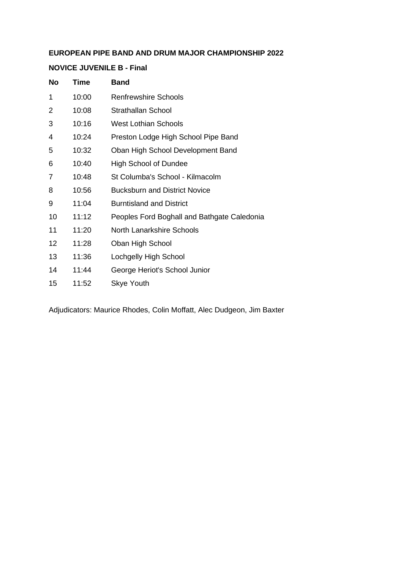#### **NOVICE JUVENILE B - Final**

| Time  | <b>Band</b>                                 |
|-------|---------------------------------------------|
| 10:00 | <b>Renfrewshire Schools</b>                 |
| 10:08 | <b>Strathallan School</b>                   |
| 10:16 | <b>West Lothian Schools</b>                 |
| 10:24 | Preston Lodge High School Pipe Band         |
| 10:32 | Oban High School Development Band           |
| 10:40 | <b>High School of Dundee</b>                |
| 10:48 | St Columba's School - Kilmacolm             |
| 10:56 | <b>Bucksburn and District Novice</b>        |
| 11:04 | <b>Burntisland and District</b>             |
| 11:12 | Peoples Ford Boghall and Bathgate Caledonia |
| 11:20 | <b>North Lanarkshire Schools</b>            |
| 11:28 | Oban High School                            |
| 11:36 | Lochgelly High School                       |
| 11:44 | George Heriot's School Junior               |
| 11:52 | <b>Skye Youth</b>                           |
|       |                                             |

Adjudicators: Maurice Rhodes, Colin Moffatt, Alec Dudgeon, Jim Baxter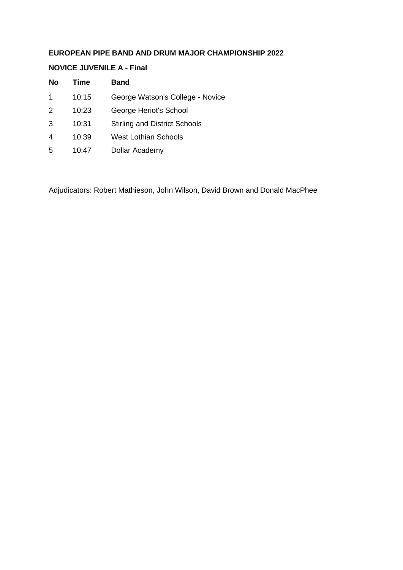#### **NOVICE JUVENILE A - Final**

| <b>No</b>      | Time  | <b>Band</b>                          |
|----------------|-------|--------------------------------------|
| 1              | 10:15 | George Watson's College - Novice     |
| 2              | 10:23 | George Heriot's School               |
| 3              | 10:31 | <b>Stirling and District Schools</b> |
| $\overline{4}$ | 10:39 | West Lothian Schools                 |
| 5              | 10:47 | Dollar Academy                       |

Adjudicators: Robert Mathieson, John Wilson, David Brown and Donald MacPhee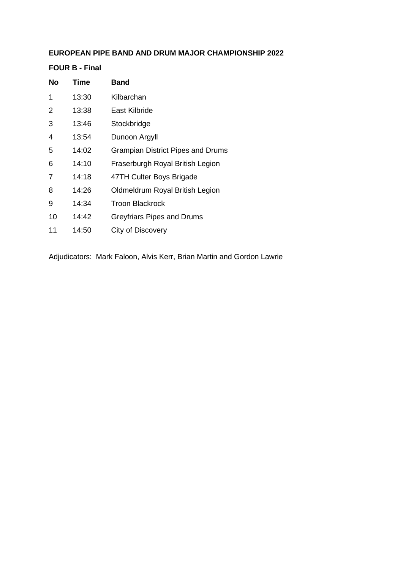**FOUR B - Final**

| No | Time  | <b>Band</b>                              |
|----|-------|------------------------------------------|
| 1  | 13:30 | Kilbarchan                               |
| 2  | 13:38 | East Kilbride                            |
| 3  | 13:46 | Stockbridge                              |
| 4  | 13:54 | Dunoon Argyll                            |
| 5  | 14:02 | <b>Grampian District Pipes and Drums</b> |
| 6  | 14:10 | Fraserburgh Royal British Legion         |
| 7  | 14:18 | 47TH Culter Boys Brigade                 |
| 8  | 14:26 | Oldmeldrum Royal British Legion          |
| 9  | 14:34 | <b>Troon Blackrock</b>                   |
| 10 | 14:42 | Greyfriars Pipes and Drums               |
| 11 | 14:50 | City of Discovery                        |

Adjudicators: Mark Faloon, Alvis Kerr, Brian Martin and Gordon Lawrie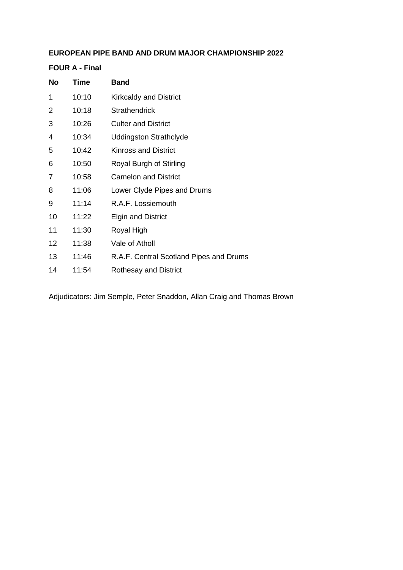### **FOUR A - Final**

| No | Time  | <b>Band</b>                             |
|----|-------|-----------------------------------------|
| 1  | 10:10 | <b>Kirkcaldy and District</b>           |
| 2  | 10:18 | <b>Strathendrick</b>                    |
| 3  | 10:26 | <b>Culter and District</b>              |
| 4  | 10:34 | <b>Uddingston Strathclyde</b>           |
| 5  | 10:42 | <b>Kinross and District</b>             |
| 6  | 10:50 | Royal Burgh of Stirling                 |
| 7  | 10:58 | <b>Camelon and District</b>             |
| 8  | 11:06 | Lower Clyde Pipes and Drums             |
| 9  | 11:14 | R.A.F. Lossiemouth                      |
| 10 | 11:22 | <b>Elgin and District</b>               |
| 11 | 11:30 | Royal High                              |
| 12 | 11:38 | Vale of Atholl                          |
| 13 | 11:46 | R.A.F. Central Scotland Pipes and Drums |
| 14 | 11:54 | <b>Rothesay and District</b>            |
|    |       |                                         |

Adjudicators: Jim Semple, Peter Snaddon, Allan Craig and Thomas Brown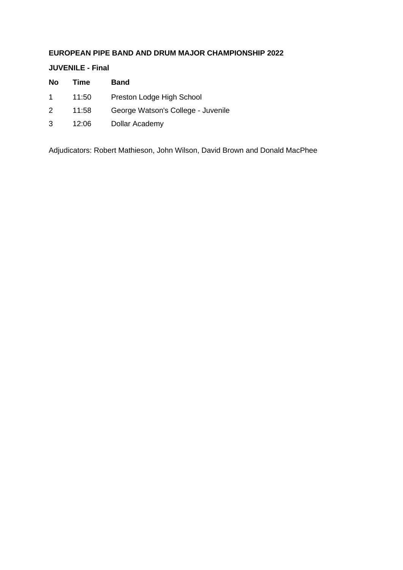**JUVENILE - Final**

| No          | Time  | <b>Band</b>                        |
|-------------|-------|------------------------------------|
| $\mathbf 1$ | 11:50 | Preston Lodge High School          |
| 2           | 11:58 | George Watson's College - Juvenile |
| 3           | 12:06 | Dollar Academy                     |

Adjudicators: Robert Mathieson, John Wilson, David Brown and Donald MacPhee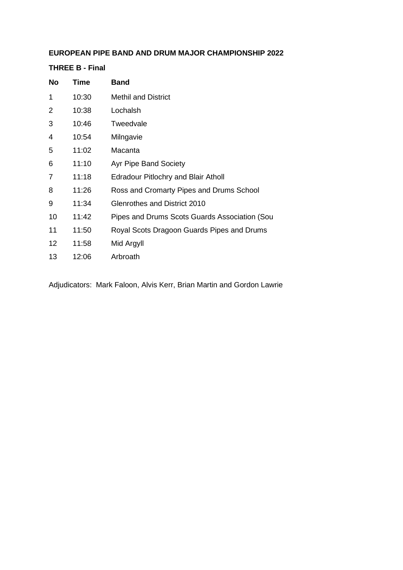**THREE B - Final**

| <b>No</b>      | Time  | <b>Band</b>                                   |
|----------------|-------|-----------------------------------------------|
| 1              | 10:30 | <b>Methil and District</b>                    |
| 2              | 10:38 | Lochalsh                                      |
| 3              | 10:46 | Tweedvale                                     |
| 4              | 10:54 | Milngavie                                     |
| 5              | 11:02 | Macanta                                       |
| 6              | 11:10 | <b>Ayr Pipe Band Society</b>                  |
| $\overline{7}$ | 11:18 | <b>Edradour Pitlochry and Blair Atholl</b>    |
| 8              | 11:26 | Ross and Cromarty Pipes and Drums School      |
| 9              | 11:34 | Glenrothes and District 2010                  |
| 10             | 11:42 | Pipes and Drums Scots Guards Association (Sou |
| 11             | 11:50 | Royal Scots Dragoon Guards Pipes and Drums    |
| 12             | 11:58 | Mid Argyll                                    |
| 13             | 12:06 | Arbroath                                      |

Adjudicators: Mark Faloon, Alvis Kerr, Brian Martin and Gordon Lawrie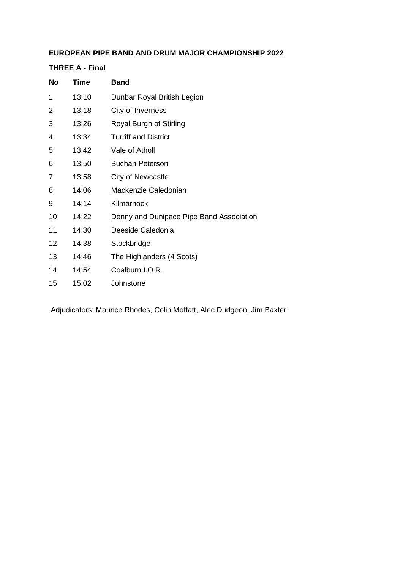### **THREE A - Final**

| No              | Time  | <b>Band</b>                              |
|-----------------|-------|------------------------------------------|
| 1               | 13:10 | Dunbar Royal British Legion              |
| $\overline{2}$  | 13:18 | City of Inverness                        |
| 3               | 13:26 | Royal Burgh of Stirling                  |
| 4               | 13:34 | <b>Turriff and District</b>              |
| 5               | 13:42 | Vale of Atholl                           |
| 6               | 13:50 | <b>Buchan Peterson</b>                   |
| 7               | 13:58 | City of Newcastle                        |
| 8               | 14:06 | Mackenzie Caledonian                     |
| 9               | 14:14 | Kilmarnock                               |
| 10              | 14:22 | Denny and Dunipace Pipe Band Association |
| 11              | 14:30 | Deeside Caledonia                        |
| 12 <sup>2</sup> | 14:38 | Stockbridge                              |
| 13              | 14:46 | The Highlanders (4 Scots)                |
| 14              | 14:54 | Coalburn I.O.R.                          |
| 15              | 15:02 | Johnstone                                |
|                 |       |                                          |

Adjudicators: Maurice Rhodes, Colin Moffatt, Alec Dudgeon, Jim Baxter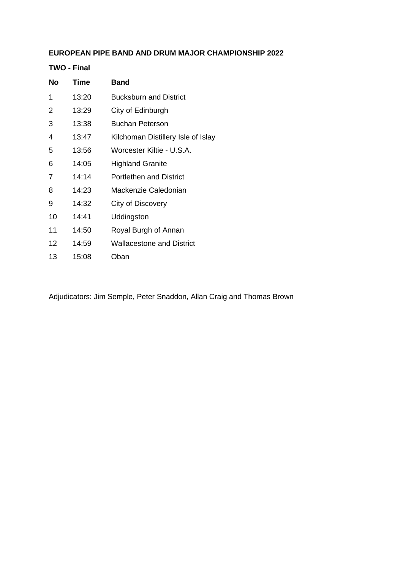**TWO - Final**

| No                | Time  | <b>Band</b>                        |
|-------------------|-------|------------------------------------|
| 1                 | 13:20 | <b>Bucksburn and District</b>      |
| 2                 | 13:29 | City of Edinburgh                  |
| 3                 | 13:38 | Buchan Peterson                    |
| 4                 | 13:47 | Kilchoman Distillery Isle of Islay |
| 5                 | 13:56 | Worcester Kiltie - U.S.A.          |
| 6                 | 14:05 | <b>Highland Granite</b>            |
| 7                 | 14:14 | <b>Portlethen and District</b>     |
| 8                 | 14:23 | Mackenzie Caledonian               |
| 9                 | 14:32 | City of Discovery                  |
| 10                | 14:41 | Uddingston                         |
| 11                | 14:50 | Royal Burgh of Annan               |
| $12 \overline{ }$ | 14:59 | <b>Wallacestone and District</b>   |
| 13                | 15:08 | Oban                               |

Adjudicators: Jim Semple, Peter Snaddon, Allan Craig and Thomas Brown